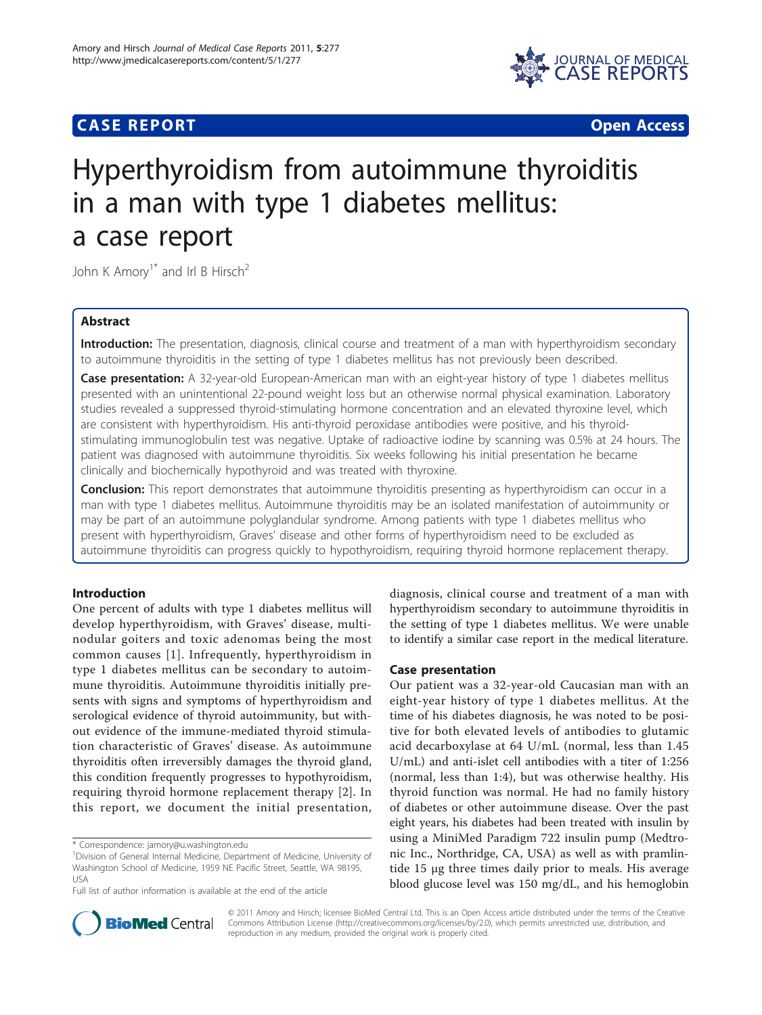# **CASE REPORT CASE REPORT CASE REPORT**



# Hyperthyroidism from autoimmune thyroiditis in a man with type 1 diabetes mellitus: a case report

John K Amorv<sup>1\*</sup> and Irl B Hirsch<sup>2</sup>

# Abstract

Introduction: The presentation, diagnosis, clinical course and treatment of a man with hyperthyroidism secondary to autoimmune thyroiditis in the setting of type 1 diabetes mellitus has not previously been described.

Case presentation: A 32-year-old European-American man with an eight-year history of type 1 diabetes mellitus presented with an unintentional 22-pound weight loss but an otherwise normal physical examination. Laboratory studies revealed a suppressed thyroid-stimulating hormone concentration and an elevated thyroxine level, which are consistent with hyperthyroidism. His anti-thyroid peroxidase antibodies were positive, and his thyroidstimulating immunoglobulin test was negative. Uptake of radioactive iodine by scanning was 0.5% at 24 hours. The patient was diagnosed with autoimmune thyroiditis. Six weeks following his initial presentation he became clinically and biochemically hypothyroid and was treated with thyroxine.

**Conclusion:** This report demonstrates that autoimmune thyroiditis presenting as hyperthyroidism can occur in a man with type 1 diabetes mellitus. Autoimmune thyroiditis may be an isolated manifestation of autoimmunity or may be part of an autoimmune polyglandular syndrome. Among patients with type 1 diabetes mellitus who present with hyperthyroidism, Graves' disease and other forms of hyperthyroidism need to be excluded as autoimmune thyroiditis can progress quickly to hypothyroidism, requiring thyroid hormone replacement therapy.

# Introduction

One percent of adults with type 1 diabetes mellitus will develop hyperthyroidism, with Graves' disease, multinodular goiters and toxic adenomas being the most common causes [[1](#page-3-0)]. Infrequently, hyperthyroidism in type 1 diabetes mellitus can be secondary to autoimmune thyroiditis. Autoimmune thyroiditis initially presents with signs and symptoms of hyperthyroidism and serological evidence of thyroid autoimmunity, but without evidence of the immune-mediated thyroid stimulation characteristic of Graves' disease. As autoimmune thyroiditis often irreversibly damages the thyroid gland, this condition frequently progresses to hypothyroidism, requiring thyroid hormone replacement therapy [[2\]](#page-3-0). In this report, we document the initial presentation,

diagnosis, clinical course and treatment of a man with hyperthyroidism secondary to autoimmune thyroiditis in the setting of type 1 diabetes mellitus. We were unable to identify a similar case report in the medical literature.

### Case presentation

Our patient was a 32-year-old Caucasian man with an eight-year history of type 1 diabetes mellitus. At the time of his diabetes diagnosis, he was noted to be positive for both elevated levels of antibodies to glutamic acid decarboxylase at 64 U/mL (normal, less than 1.45 U/mL) and anti-islet cell antibodies with a titer of 1:256 (normal, less than 1:4), but was otherwise healthy. His thyroid function was normal. He had no family history of diabetes or other autoimmune disease. Over the past eight years, his diabetes had been treated with insulin by using a MiniMed Paradigm 722 insulin pump (Medtronic Inc., Northridge, CA, USA) as well as with pramlintide 15 μg three times daily prior to meals. His average blood glucose level was 150 mg/dL, and his hemoglobin



© 2011 Amory and Hirsch; licensee BioMed Central Ltd. This is an Open Access article distributed under the terms of the Creative Commons Attribution License [\(http://creativecommons.org/licenses/by/2.0](http://creativecommons.org/licenses/by/2.0)), which permits unrestricted use, distribution, and reproduction in any medium, provided the original work is properly cited.

<sup>\*</sup> Correspondence: [jamory@u.washington.edu](mailto:jamory@u.washington.edu)

<sup>&</sup>lt;sup>1</sup> Division of General Internal Medicine, Department of Medicine, University of Washington School of Medicine, 1959 NE Pacific Street, Seattle, WA 98195, USA

Full list of author information is available at the end of the article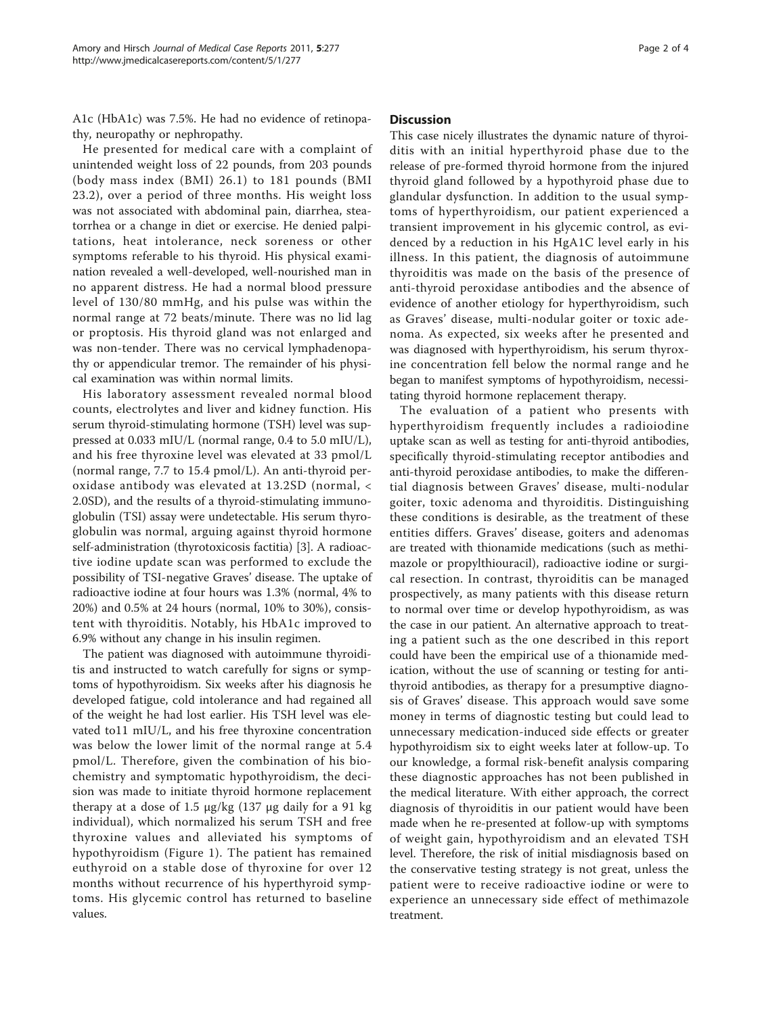A1c (HbA1c) was 7.5%. He had no evidence of retinopathy, neuropathy or nephropathy.

He presented for medical care with a complaint of unintended weight loss of 22 pounds, from 203 pounds (body mass index (BMI) 26.1) to 181 pounds (BMI 23.2), over a period of three months. His weight loss was not associated with abdominal pain, diarrhea, steatorrhea or a change in diet or exercise. He denied palpitations, heat intolerance, neck soreness or other symptoms referable to his thyroid. His physical examination revealed a well-developed, well-nourished man in no apparent distress. He had a normal blood pressure level of 130/80 mmHg, and his pulse was within the normal range at 72 beats/minute. There was no lid lag or proptosis. His thyroid gland was not enlarged and was non-tender. There was no cervical lymphadenopathy or appendicular tremor. The remainder of his physical examination was within normal limits.

His laboratory assessment revealed normal blood counts, electrolytes and liver and kidney function. His serum thyroid-stimulating hormone (TSH) level was suppressed at 0.033 mIU/L (normal range, 0.4 to 5.0 mIU/L), and his free thyroxine level was elevated at 33 pmol/L (normal range, 7.7 to 15.4 pmol/L). An anti-thyroid peroxidase antibody was elevated at 13.2SD (normal, < 2.0SD), and the results of a thyroid-stimulating immunoglobulin (TSI) assay were undetectable. His serum thyroglobulin was normal, arguing against thyroid hormone self-administration (thyrotoxicosis factitia) [[3\]](#page-3-0). A radioactive iodine update scan was performed to exclude the possibility of TSI-negative Graves' disease. The uptake of radioactive iodine at four hours was 1.3% (normal, 4% to 20%) and 0.5% at 24 hours (normal, 10% to 30%), consistent with thyroiditis. Notably, his HbA1c improved to 6.9% without any change in his insulin regimen.

The patient was diagnosed with autoimmune thyroiditis and instructed to watch carefully for signs or symptoms of hypothyroidism. Six weeks after his diagnosis he developed fatigue, cold intolerance and had regained all of the weight he had lost earlier. His TSH level was elevated to11 mIU/L, and his free thyroxine concentration was below the lower limit of the normal range at 5.4 pmol/L. Therefore, given the combination of his biochemistry and symptomatic hypothyroidism, the decision was made to initiate thyroid hormone replacement therapy at a dose of 1.5  $\mu$ g/kg (137  $\mu$ g daily for a 91 kg individual), which normalized his serum TSH and free thyroxine values and alleviated his symptoms of hypothyroidism (Figure [1](#page-2-0)). The patient has remained euthyroid on a stable dose of thyroxine for over 12 months without recurrence of his hyperthyroid symptoms. His glycemic control has returned to baseline values.

#### **Discussion**

This case nicely illustrates the dynamic nature of thyroiditis with an initial hyperthyroid phase due to the release of pre-formed thyroid hormone from the injured thyroid gland followed by a hypothyroid phase due to glandular dysfunction. In addition to the usual symptoms of hyperthyroidism, our patient experienced a transient improvement in his glycemic control, as evidenced by a reduction in his HgA1C level early in his illness. In this patient, the diagnosis of autoimmune thyroiditis was made on the basis of the presence of anti-thyroid peroxidase antibodies and the absence of evidence of another etiology for hyperthyroidism, such as Graves' disease, multi-nodular goiter or toxic adenoma. As expected, six weeks after he presented and was diagnosed with hyperthyroidism, his serum thyroxine concentration fell below the normal range and he began to manifest symptoms of hypothyroidism, necessitating thyroid hormone replacement therapy.

The evaluation of a patient who presents with hyperthyroidism frequently includes a radioiodine uptake scan as well as testing for anti-thyroid antibodies, specifically thyroid-stimulating receptor antibodies and anti-thyroid peroxidase antibodies, to make the differential diagnosis between Graves' disease, multi-nodular goiter, toxic adenoma and thyroiditis. Distinguishing these conditions is desirable, as the treatment of these entities differs. Graves' disease, goiters and adenomas are treated with thionamide medications (such as methimazole or propylthiouracil), radioactive iodine or surgical resection. In contrast, thyroiditis can be managed prospectively, as many patients with this disease return to normal over time or develop hypothyroidism, as was the case in our patient. An alternative approach to treating a patient such as the one described in this report could have been the empirical use of a thionamide medication, without the use of scanning or testing for antithyroid antibodies, as therapy for a presumptive diagnosis of Graves' disease. This approach would save some money in terms of diagnostic testing but could lead to unnecessary medication-induced side effects or greater hypothyroidism six to eight weeks later at follow-up. To our knowledge, a formal risk-benefit analysis comparing these diagnostic approaches has not been published in the medical literature. With either approach, the correct diagnosis of thyroiditis in our patient would have been made when he re-presented at follow-up with symptoms of weight gain, hypothyroidism and an elevated TSH level. Therefore, the risk of initial misdiagnosis based on the conservative testing strategy is not great, unless the patient were to receive radioactive iodine or were to experience an unnecessary side effect of methimazole treatment.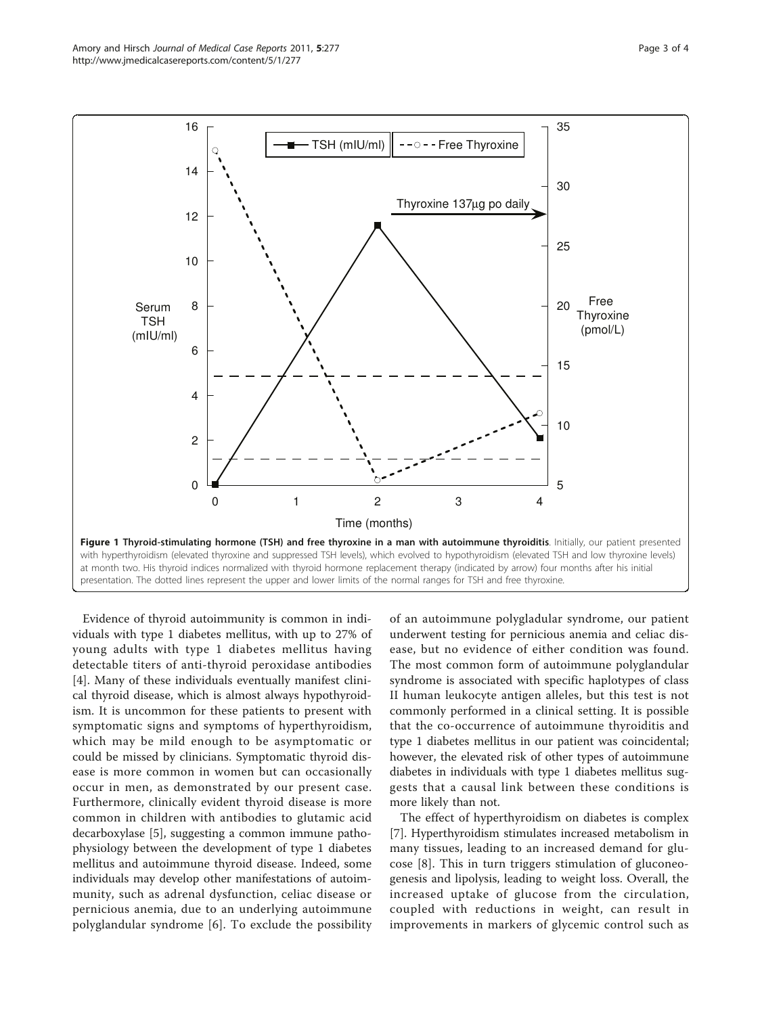<span id="page-2-0"></span>

Evidence of thyroid autoimmunity is common in individuals with type 1 diabetes mellitus, with up to 27% of young adults with type 1 diabetes mellitus having detectable titers of anti-thyroid peroxidase antibodies [[4\]](#page-3-0). Many of these individuals eventually manifest clinical thyroid disease, which is almost always hypothyroidism. It is uncommon for these patients to present with symptomatic signs and symptoms of hyperthyroidism, which may be mild enough to be asymptomatic or could be missed by clinicians. Symptomatic thyroid disease is more common in women but can occasionally occur in men, as demonstrated by our present case. Furthermore, clinically evident thyroid disease is more common in children with antibodies to glutamic acid decarboxylase [[5\]](#page-3-0), suggesting a common immune pathophysiology between the development of type 1 diabetes mellitus and autoimmune thyroid disease. Indeed, some individuals may develop other manifestations of autoimmunity, such as adrenal dysfunction, celiac disease or pernicious anemia, due to an underlying autoimmune polyglandular syndrome [[6](#page-3-0)]. To exclude the possibility of an autoimmune polygladular syndrome, our patient underwent testing for pernicious anemia and celiac disease, but no evidence of either condition was found. The most common form of autoimmune polyglandular syndrome is associated with specific haplotypes of class II human leukocyte antigen alleles, but this test is not commonly performed in a clinical setting. It is possible that the co-occurrence of autoimmune thyroiditis and type 1 diabetes mellitus in our patient was coincidental; however, the elevated risk of other types of autoimmune diabetes in individuals with type 1 diabetes mellitus suggests that a causal link between these conditions is more likely than not.

The effect of hyperthyroidism on diabetes is complex [[7\]](#page-3-0). Hyperthyroidism stimulates increased metabolism in many tissues, leading to an increased demand for glucose [[8\]](#page-3-0). This in turn triggers stimulation of gluconeogenesis and lipolysis, leading to weight loss. Overall, the increased uptake of glucose from the circulation, coupled with reductions in weight, can result in improvements in markers of glycemic control such as